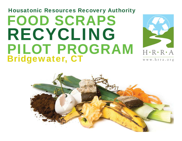

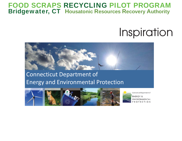# **Inspiration**



## Connecticut Department of Energy and Environmental Protection



Connecticut Department of **ENERGY &** ENVIRONMENTAL **ROTECTION**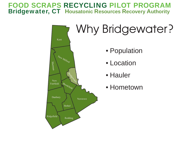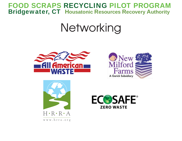# Networking







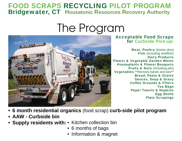# The Program



#### Acceptable Food Scraps for Curbside Pick-up:

Meat, Poultry (bones also) Fish (including shellfish) Dairy Products Flower & Vegetable Garden Waste Houseplants & Flower Bouquets Fruits & Nuts (including pits) Vegetables \*\*Remove bands and ties\*\* Bread, Pasta & Grains Sauces, Soup & Gravy Coffee Grounds & Filters Tea Bags Paper Towels & Napkins Egg Shells Plate Scrapings

- **6 month residential organics** (food scrap) **curb-side pilot program**
- **AAW Curbside bin**
- **Supply residents with:** Kitchen collection bin
	- 6 months of bags
	- Information & magnet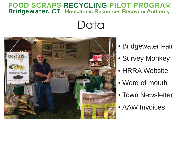## Data



- Bridgewater Fair
- Survey Monkey
- HRRA Website
- Word of mouth
- Town Newsletter
- AAW Invoices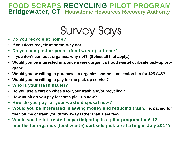Survey Says

- Do you recycle at home?
- **If you don't recycle at home, why not?**
- Do you compost organics (food waste) at home?
- **If you don't compost organics, why not? (Select all that apply.)**
- **Would you be interested in a once a week organics (food waste) curbside pick-up program?**
- **Would you be willing to purchase an organics compost collection bin for \$25-\$45?**
- **Would you be willing to pay for the pick-up service?**
- Who is your trash hauler?
- **Do you use a cart on wheels for your trash and/or recycling?**
- **How much do you pay for trash pick-up now?**
- How do you pay for your waste disposal now?
- Would you be interested in saving money and reducing trash, **i.e. paying for the volume of trash you throw away rather than a set fee?**
- Would you be interested in participating in a pilot program for 6-12 months for organics (food waste) curbside pick-up starting in July 2014?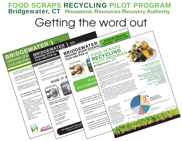

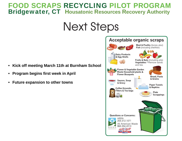## Next Steps

- **Kick off meeting March 11th at Burnham School**
- **Program begins fi rst week in April**
- **Future expansion to other towns**